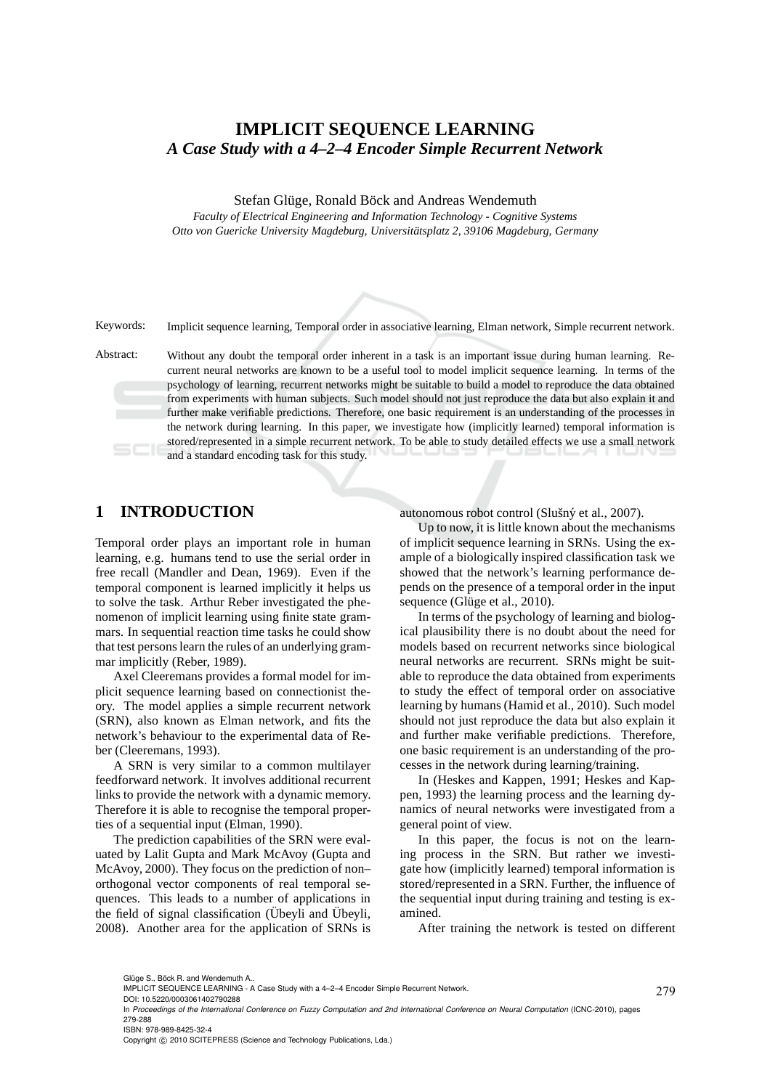# **IMPLICIT SEQUENCE LEARNING** *A Case Study with a 4–2–4 Encoder Simple Recurrent Network*

Stefan Glüge, Ronald Böck and Andreas Wendemuth

*Faculty of Electrical Engineering and Information Technology - Cognitive Systems* Otto von Guericke University Magdeburg, Universitätsplatz 2, 39106 Magdeburg, Germany

Keywords: Implicit sequence learning, Temporal order in associative learning, Elman network, Simple recurrent network.

Abstract: Without any doubt the temporal order inherent in a task is an important issue during human learning. Recurrent neural networks are known to be a useful tool to model implicit sequence learning. In terms of the psychology of learning, recurrent networks might be suitable to build a model to reproduce the data obtained from experiments with human subjects. Such model should not just reproduce the data but also explain it and further make verifiable predictions. Therefore, one basic requirement is an understanding of the processes in the network during learning. In this paper, we investigate how (implicitly learned) temporal information is stored/represented in a simple recurrent network. To be able to study detailed effects we use a small network and a standard encoding task for this study.

# **1 INTRODUCTION**

Temporal order plays an important role in human learning, e.g. humans tend to use the serial order in free recall (Mandler and Dean, 1969). Even if the temporal component is learned implicitly it helps us to solve the task. Arthur Reber investigated the phenomenon of implicit learning using finite state grammars. In sequential reaction time tasks he could show that test persons learn the rules of an underlying grammar implicitly (Reber, 1989).

Axel Cleeremans provides a formal model for implicit sequence learning based on connectionist theory. The model applies a simple recurrent network (SRN), also known as Elman network, and fits the network's behaviour to the experimental data of Reber (Cleeremans, 1993).

A SRN is very similar to a common multilayer feedforward network. It involves additional recurrent links to provide the network with a dynamic memory. Therefore it is able to recognise the temporal properties of a sequential input (Elman, 1990).

The prediction capabilities of the SRN were evaluated by Lalit Gupta and Mark McAvoy (Gupta and McAvoy, 2000). They focus on the prediction of non– orthogonal vector components of real temporal sequences. This leads to a number of applications in the field of signal classification (Übeyli and Übeyli, 2008). Another area for the application of SRNs is autonomous robot control (Slušný et al., 2007).

Up to now, it is little known about the mechanisms of implicit sequence learning in SRNs. Using the example of a biologically inspired classification task we showed that the network's learning performance depends on the presence of a temporal order in the input sequence (Glüge et al., 2010).

In terms of the psychology of learning and biological plausibility there is no doubt about the need for models based on recurrent networks since biological neural networks are recurrent. SRNs might be suitable to reproduce the data obtained from experiments to study the effect of temporal order on associative learning by humans (Hamid et al., 2010). Such model should not just reproduce the data but also explain it and further make verifiable predictions. Therefore, one basic requirement is an understanding of the processes in the network during learning/training.

In (Heskes and Kappen, 1991; Heskes and Kappen, 1993) the learning process and the learning dynamics of neural networks were investigated from a general point of view.

In this paper, the focus is not on the learning process in the SRN. But rather we investigate how (implicitly learned) temporal information is stored/represented in a SRN. Further, the influence of the sequential input during training and testing is examined.

After training the network is tested on different

IMPLICIT SEQUENCE LEARNING - A Case Study with a 4–2–4 Encoder Simple Recurrent Network.

DOI: 10.5220/0003061402790288

In *Proceedings of the International Conference on Fuzzy Computation and 2nd International Conference on Neural Computation* (ICNC-2010), pages 279-288 ISBN: 978-989-8425-32-4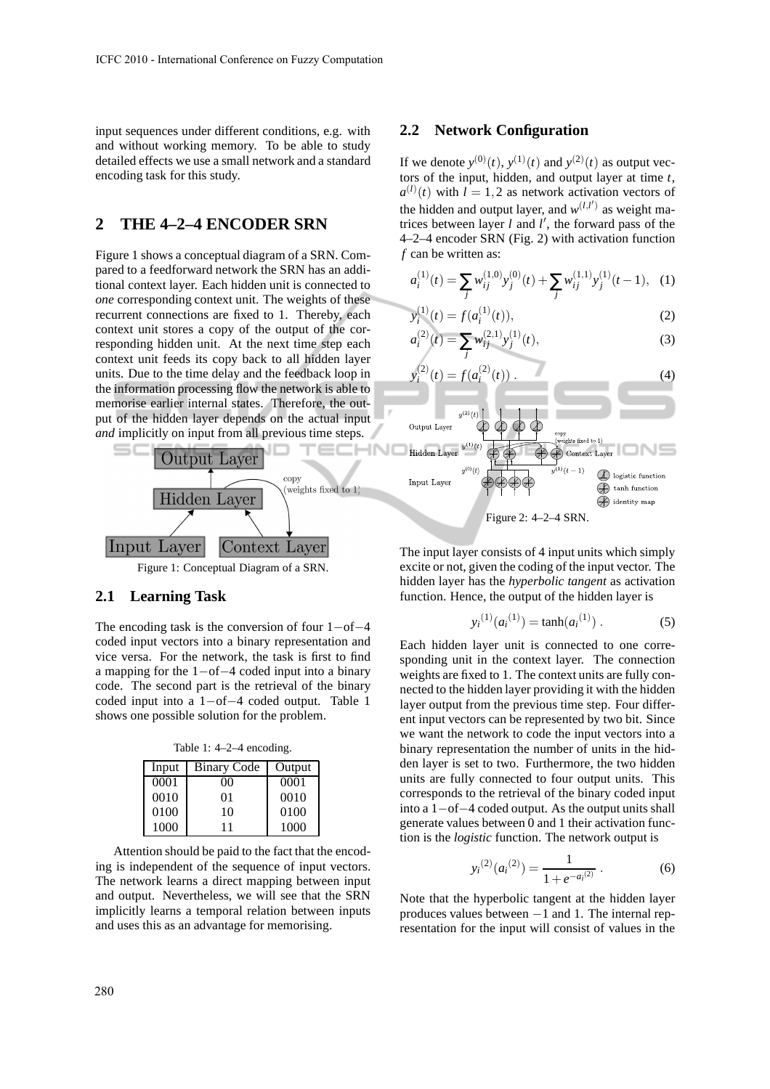input sequences under different conditions, e.g. with and without working memory. To be able to study detailed effects we use a small network and a standard encoding task for this study.

# **2 THE 4–2–4 ENCODER SRN**

Figure 1 shows a conceptual diagram of a SRN. Compared to a feedforward network the SRN has an additional context layer. Each hidden unit is connected to *one* corresponding context unit. The weights of these recurrent connections are fixed to 1. Thereby, each context unit stores a copy of the output of the corresponding hidden unit. At the next time step each context unit feeds its copy back to all hidden layer units. Due to the time delay and the feedback loop in the information processing flow the network is able to memorise earlier internal states. Therefore, the output of the hidden layer depends on the actual input *and* implicitly on input from all previous time steps.



Figure 1: Conceptual Diagram of a SRN.

### **2.1 Learning Task**

The encoding task is the conversion of four 1−of−4 coded input vectors into a binary representation and vice versa. For the network, the task is first to find a mapping for the 1−of−4 coded input into a binary code. The second part is the retrieval of the binary coded input into a 1−of−4 coded output. Table 1 shows one possible solution for the problem.

Table 1: 4–2–4 encoding.

| Input | <b>Binary Code</b> | Output |
|-------|--------------------|--------|
| 0001  | 00                 | 0001   |
| 0010  | 01                 | 0010   |
| 0100  | 10                 | 0100   |
| 1000  | 11                 | 1000   |

Attention should be paid to the fact that the encoding is independent of the sequence of input vectors. The network learns a direct mapping between input and output. Nevertheless, we will see that the SRN implicitly learns a temporal relation between inputs and uses this as an advantage for memorising.

### **2.2 Network Configuration**

If we denote  $y^{(0)}(t)$ ,  $y^{(1)}(t)$  and  $y^{(2)}(t)$  as output vectors of the input, hidden, and output layer at time *t*,  $a^{(l)}(t)$  with  $l = 1,2$  as network activation vectors of the hidden and output layer, and  $w^{(l,l')}$  as weight matrices between layer  $l$  and  $l'$ , the forward pass of the 4–2–4 encoder SRN (Fig. 2) with activation function *f* can be written as:

$$
a_i^{(1)}(t) = \sum_j w_{ij}^{(1,0)} y_j^{(0)}(t) + \sum_j w_{ij}^{(1,1)} y_j^{(1)}(t-1), \quad (1)
$$

$$
y_i^{(1)}(t) = f(a_i^{(1)}(t)),
$$
\n(2)

$$
a_i^{(2)}(t) = \sum_j w_{ij}^{(2,1)} y_j^{(1)}(t),
$$
\n(3)





The input layer consists of 4 input units which simply excite or not, given the coding of the input vector. The hidden layer has the *hyperbolic tangent* as activation function. Hence, the output of the hidden layer is

$$
y_i^{(1)}(a_i^{(1)}) = \tanh(a_i^{(1)})
$$
. (5)

Each hidden layer unit is connected to one corresponding unit in the context layer. The connection weights are fixed to 1. The context units are fully connected to the hidden layer providing it with the hidden layer output from the previous time step. Four different input vectors can be represented by two bit. Since we want the network to code the input vectors into a binary representation the number of units in the hidden layer is set to two. Furthermore, the two hidden units are fully connected to four output units. This corresponds to the retrieval of the binary coded input into a 1−of−4 coded output. As the output units shall generate values between 0 and 1 their activation function is the *logistic* function. The network output is

$$
y_i^{(2)}(a_i^{(2)}) = \frac{1}{1 + e^{-a_i^{(2)}}}.
$$
 (6)

Note that the hyperbolic tangent at the hidden layer produces values between −1 and 1. The internal representation for the input will consist of values in the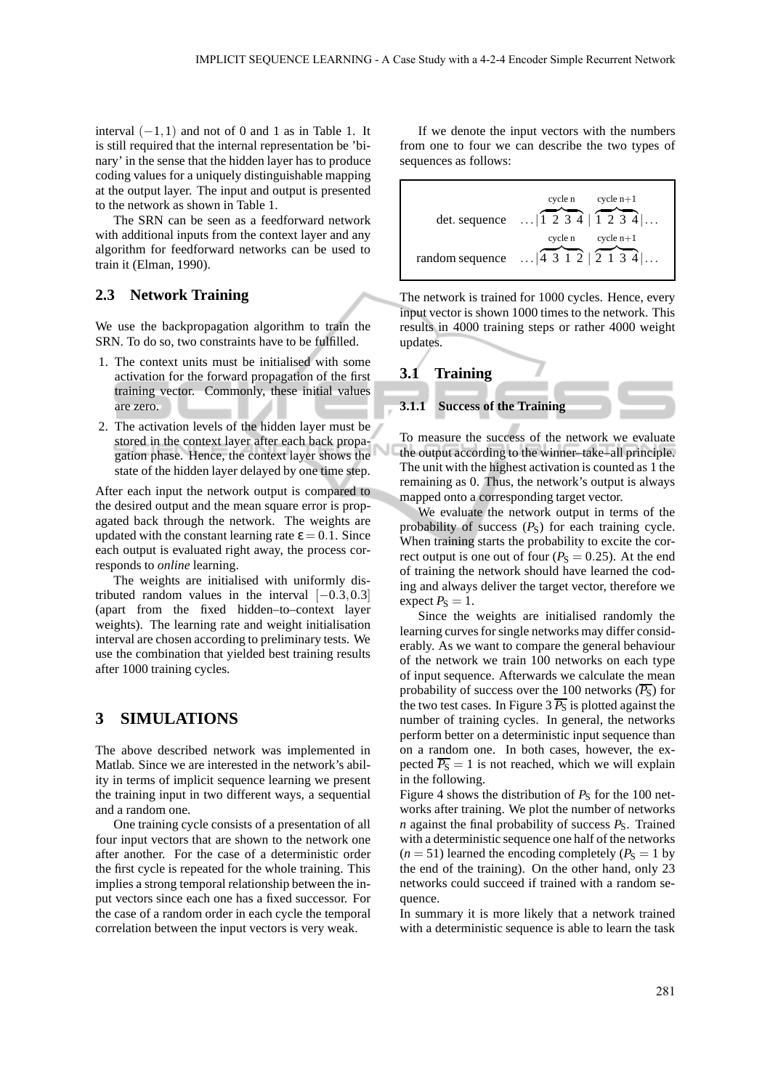interval  $(-1,1)$  and not of 0 and 1 as in Table 1. It is still required that the internal representation be 'binary' in the sense that the hidden layer has to produce coding values for a uniquely distinguishable mapping at the output layer. The input and output is presented to the network as shown in Table 1.

The SRN can be seen as a feedforward network with additional inputs from the context layer and any algorithm for feedforward networks can be used to train it (Elman, 1990).

### **2.3 Network Training**

We use the backpropagation algorithm to train the SRN. To do so, two constraints have to be fulfilled.

- 1. The context units must be initialised with some activation for the forward propagation of the first training vector. Commonly, these initial values are zero.
- 2. The activation levels of the hidden layer must be stored in the context layer after each back propagation phase. Hence, the context layer shows the state of the hidden layer delayed by one time step.

After each input the network output is compared to the desired output and the mean square error is propagated back through the network. The weights are updated with the constant learning rate  $\epsilon = 0.1$ . Since each output is evaluated right away, the process corresponds to *online* learning.

The weights are initialised with uniformly distributed random values in the interval  $[-0.3, 0.3]$ (apart from the fixed hidden–to–context layer weights). The learning rate and weight initialisation interval are chosen according to preliminary tests. We use the combination that yielded best training results after 1000 training cycles.

## **3 SIMULATIONS**

The above described network was implemented in Matlab. Since we are interested in the network's ability in terms of implicit sequence learning we present the training input in two different ways, a sequential and a random one.

One training cycle consists of a presentation of all four input vectors that are shown to the network one after another. For the case of a deterministic order the first cycle is repeated for the whole training. This implies a strong temporal relationship between the input vectors since each one has a fixed successor. For the case of a random order in each cycle the temporal correlation between the input vectors is very weak.

If we denote the input vectors with the numbers from one to four we can describe the two types of sequences as follows:

| det. sequence   | cycle n<br>cycle $n+1$<br>$\ldots$  1234 1234  $\ldots$ |
|-----------------|---------------------------------------------------------|
|                 | cycle n<br>cycle $n+1$                                  |
| random sequence | $\ldots$ 4312   2134                                    |

The network is trained for 1000 cycles. Hence, every input vector is shown 1000 times to the network. This results in 4000 training steps or rather 4000 weight updates.



To measure the success of the network we evaluate the output according to the winner–take–all principle. The unit with the highest activation is counted as 1 the remaining as 0. Thus, the network's output is always mapped onto a corresponding target vector.

We evaluate the network output in terms of the probability of success  $(P<sub>S</sub>)$  for each training cycle. When training starts the probability to excite the correct output is one out of four  $(P<sub>S</sub> = 0.25)$ . At the end of training the network should have learned the coding and always deliver the target vector, therefore we expect  $P_S = 1$ .

Since the weights are initialised randomly the learning curves for single networks may differ considerably. As we want to compare the general behaviour of the network we train 100 networks on each type of input sequence. Afterwards we calculate the mean probability of success over the 100 networks  $(\overline{P_S})$  for the two test cases. In Figure 3  $\overline{P_S}$  is plotted against the number of training cycles. In general, the networks perform better on a deterministic input sequence than on a random one. In both cases, however, the expected  $\overline{P_S} = 1$  is not reached, which we will explain in the following.

Figure 4 shows the distribution of  $P<sub>S</sub>$  for the 100 networks after training. We plot the number of networks  $n$  against the final probability of success  $P_S$ . Trained with a deterministic sequence one half of the networks  $(n = 51)$  learned the encoding completely  $(P<sub>S</sub> = 1$  by the end of the training). On the other hand, only 23 networks could succeed if trained with a random sequence.

In summary it is more likely that a network trained with a deterministic sequence is able to learn the task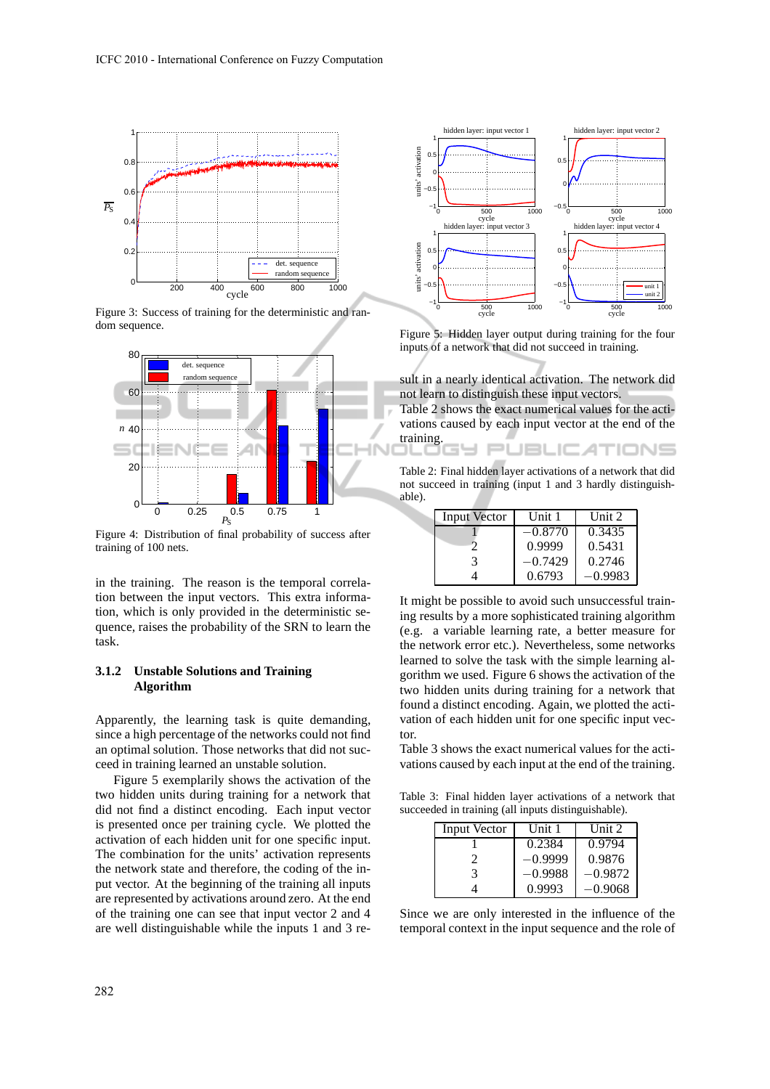

Figure 3: Success of training for the deterministic and random sequence.



Figure 4: Distribution of final probability of success after training of 100 nets.

in the training. The reason is the temporal correlation between the input vectors. This extra information, which is only provided in the deterministic sequence, raises the probability of the SRN to learn the task.

### **3.1.2 Unstable Solutions and Training Algorithm**

Apparently, the learning task is quite demanding, since a high percentage of the networks could not find an optimal solution. Those networks that did not succeed in training learned an unstable solution.

Figure 5 exemplarily shows the activation of the two hidden units during training for a network that did not find a distinct encoding. Each input vector is presented once per training cycle. We plotted the activation of each hidden unit for one specific input. The combination for the units' activation represents the network state and therefore, the coding of the input vector. At the beginning of the training all inputs are represented by activations around zero. At the end of the training one can see that input vector 2 and 4 are well distinguishable while the inputs 1 and 3 re-



Figure 5: Hidden layer output during training for the four inputs of a network that did not succeed in training.

sult in a nearly identical activation. The network did not learn to distinguish these input vectors.

Table 2 shows the exact numerical values for the activations caused by each input vector at the end of the training.

**JBLIC ATIONS** 

Table 2: Final hidden layer activations of a network that did not succeed in training (input 1 and 3 hardly distinguishable).

| <b>Input Vector</b> | Unit 1    | Unit 2    |
|---------------------|-----------|-----------|
|                     | $-0.8770$ | 0.3435    |
|                     | 0.9999    | 0.5431    |
| 3                   | $-0.7429$ | 0.2746    |
|                     | 0.6793    | $-0.9983$ |

It might be possible to avoid such unsuccessful training results by a more sophisticated training algorithm (e.g. a variable learning rate, a better measure for the network error etc.). Nevertheless, some networks learned to solve the task with the simple learning algorithm we used. Figure 6 shows the activation of the two hidden units during training for a network that found a distinct encoding. Again, we plotted the activation of each hidden unit for one specific input vector.

Table 3 shows the exact numerical values for the activations caused by each input at the end of the training.

Table 3: Final hidden layer activations of a network that succeeded in training (all inputs distinguishable).

| <b>Input Vector</b> | Unit 1    | Unit $2$  |
|---------------------|-----------|-----------|
|                     | 0.2384    | 0.9794    |
|                     | -0.9999   | 0.9876    |
| 3                   | $-0.9988$ | $-0.9872$ |
|                     | 0.9993    | –0.9068   |

Since we are only interested in the influence of the temporal context in the input sequence and the role of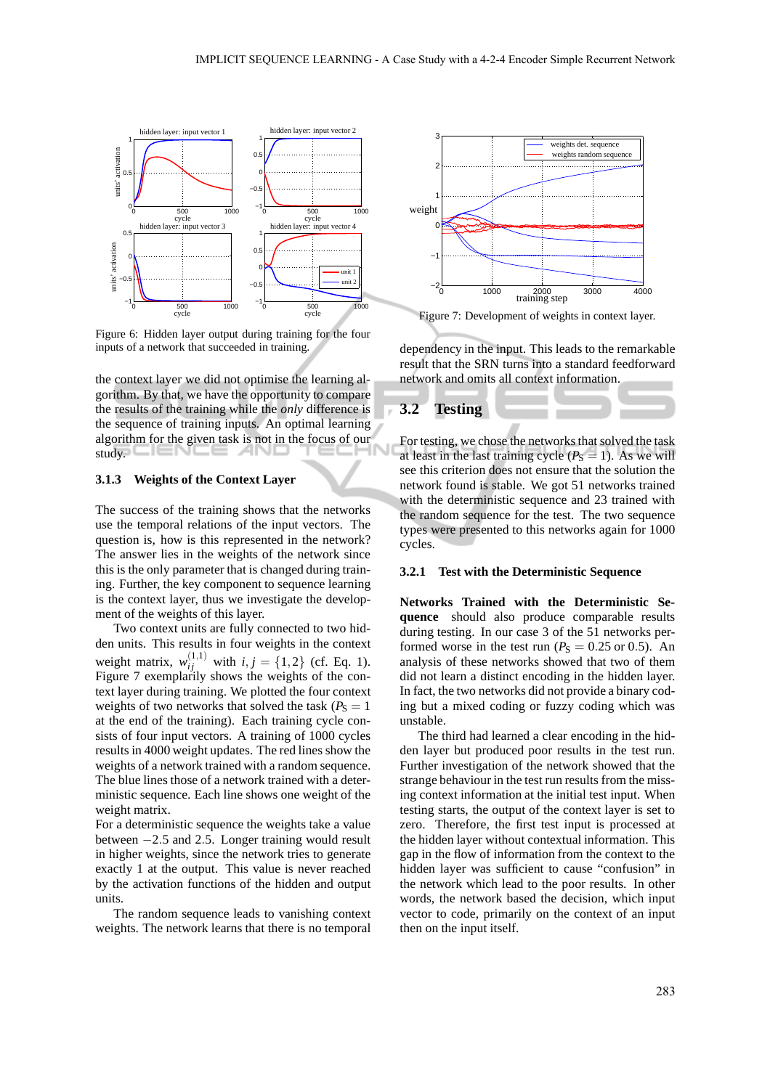

Figure 6: Hidden layer output during training for the four inputs of a network that succeeded in training.

the context layer we did not optimise the learning algorithm. By that, we have the opportunity to compare the results of the training while the *only* difference is the sequence of training inputs. An optimal learning algorithm for the given task is not in the focus of our study.

#### **3.1.3 Weights of the Context Layer**

The success of the training shows that the networks use the temporal relations of the input vectors. The question is, how is this represented in the network? The answer lies in the weights of the network since this is the only parameter that is changed during training. Further, the key component to sequence learning is the context layer, thus we investigate the development of the weights of this layer.

Two context units are fully connected to two hidden units. This results in four weights in the context weight matrix,  $w_{ij}^{(1,1)}$  with  $i, j = \{1, 2\}$  (cf. Eq. 1). Figure 7 exemplarily shows the weights of the context layer during training. We plotted the four context weights of two networks that solved the task ( $P_S = 1$ ) at the end of the training). Each training cycle consists of four input vectors. A training of 1000 cycles results in 4000 weight updates. The red lines show the weights of a network trained with a random sequence. The blue lines those of a network trained with a deterministic sequence. Each line shows one weight of the weight matrix.

For a deterministic sequence the weights take a value between −2.5 and 2.5. Longer training would result in higher weights, since the network tries to generate exactly 1 at the output. This value is never reached by the activation functions of the hidden and output units.

The random sequence leads to vanishing context weights. The network learns that there is no temporal



Figure 7: Development of weights in context layer.

dependency in the input. This leads to the remarkable result that the SRN turns into a standard feedforward network and omits all context information.

### **3.2 Testing**

For testing, we chose the networks that solved the task at least in the last training cycle  $(P<sub>S</sub> = 1)$ . As we will see this criterion does not ensure that the solution the network found is stable. We got 51 networks trained with the deterministic sequence and 23 trained with the random sequence for the test. The two sequence types were presented to this networks again for 1000 cycles.

#### **3.2.1 Test with the Deterministic Sequence**

**Networks Trained with the Deterministic Sequence** should also produce comparable results during testing. In our case 3 of the 51 networks performed worse in the test run ( $P_S = 0.25$  or 0.5). An analysis of these networks showed that two of them did not learn a distinct encoding in the hidden layer. In fact, the two networks did not provide a binary coding but a mixed coding or fuzzy coding which was unstable.

The third had learned a clear encoding in the hidden layer but produced poor results in the test run. Further investigation of the network showed that the strange behaviour in the test run results from the missing context information at the initial test input. When testing starts, the output of the context layer is set to zero. Therefore, the first test input is processed at the hidden layer without contextual information. This gap in the flow of information from the context to the hidden layer was sufficient to cause "confusion" in the network which lead to the poor results. In other words, the network based the decision, which input vector to code, primarily on the context of an input then on the input itself.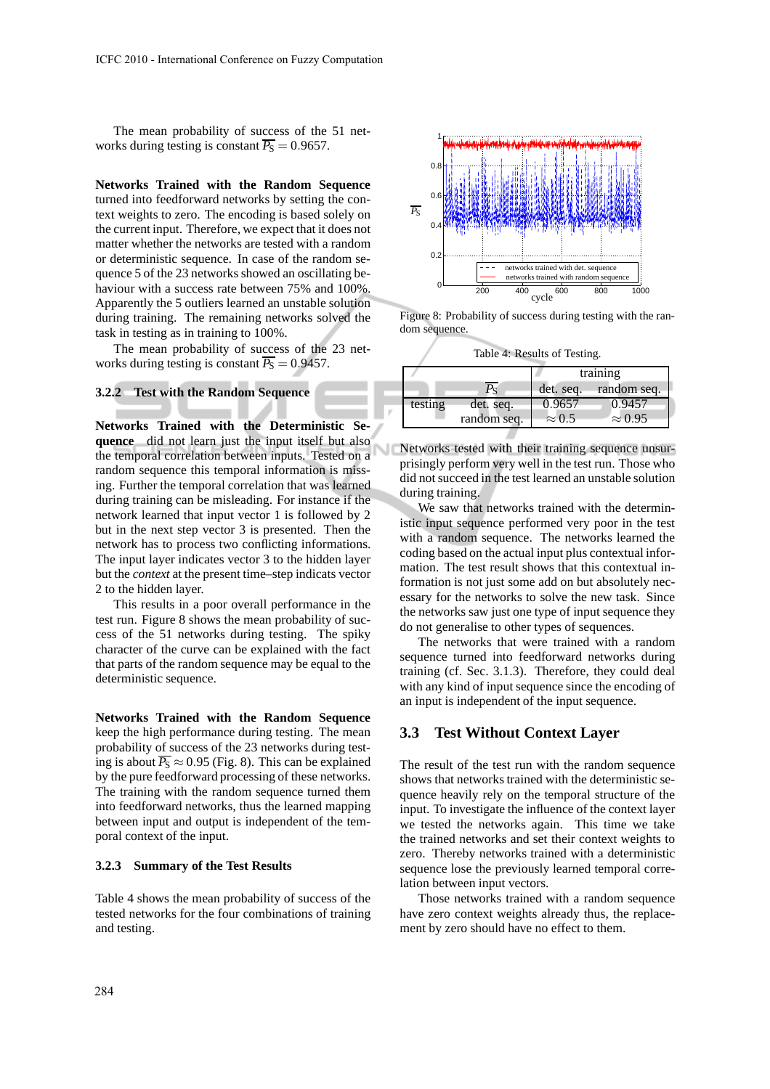The mean probability of success of the 51 networks during testing is constant  $\overline{P_S} = 0.9657$ .

**Networks Trained with the Random Sequence** turned into feedforward networks by setting the context weights to zero. The encoding is based solely on the current input. Therefore, we expect that it does not matter whether the networks are tested with a random or deterministic sequence. In case of the random sequence 5 of the 23 networks showed an oscillating behaviour with a success rate between 75% and 100%. Apparently the 5 outliers learned an unstable solution during training. The remaining networks solved the task in testing as in training to 100%.

The mean probability of success of the 23 networks during testing is constant  $\overline{P_S} = 0.9457$ .

# **3.2.2 Test with the Random Sequence**

**Networks Trained with the Deterministic Sequence** did not learn just the input itself but also the temporal correlation between inputs. Tested on a random sequence this temporal information is missing. Further the temporal correlation that was learned during training can be misleading. For instance if the network learned that input vector 1 is followed by 2 but in the next step vector 3 is presented. Then the network has to process two conflicting informations. The input layer indicates vector 3 to the hidden layer but the *context* at the present time–step indicats vector 2 to the hidden layer.

This results in a poor overall performance in the test run. Figure 8 shows the mean probability of success of the 51 networks during testing. The spiky character of the curve can be explained with the fact that parts of the random sequence may be equal to the deterministic sequence.

**Networks Trained with the Random Sequence** keep the high performance during testing. The mean probability of success of the 23 networks during testing is about  $\overline{P_S} \approx 0.95$  (Fig. 8). This can be explained by the pure feedforward processing of these networks. The training with the random sequence turned them into feedforward networks, thus the learned mapping between input and output is independent of the temporal context of the input.

#### **3.2.3 Summary of the Test Results**

Table 4 shows the mean probability of success of the tested networks for the four combinations of training and testing.



Figure 8: Probability of success during testing with the random sequence.

|         |             | training      |                |
|---------|-------------|---------------|----------------|
|         | ٢s          | det. seq.     | random seq.    |
| testing | det. seq.   | 0.9657        | 0.9457         |
|         | random seq. | $\approx 0.5$ | $\approx 0.95$ |

Networks tested with their training sequence unsurprisingly perform very well in the test run. Those who did not succeed in the test learned an unstable solution during training.

We saw that networks trained with the deterministic input sequence performed very poor in the test with a random sequence. The networks learned the coding based on the actual input plus contextual information. The test result shows that this contextual information is not just some add on but absolutely necessary for the networks to solve the new task. Since the networks saw just one type of input sequence they do not generalise to other types of sequences.

The networks that were trained with a random sequence turned into feedforward networks during training (cf. Sec. 3.1.3). Therefore, they could deal with any kind of input sequence since the encoding of an input is independent of the input sequence.

### **3.3 Test Without Context Layer**

The result of the test run with the random sequence shows that networks trained with the deterministic sequence heavily rely on the temporal structure of the input. To investigate the influence of the context layer we tested the networks again. This time we take the trained networks and set their context weights to zero. Thereby networks trained with a deterministic sequence lose the previously learned temporal correlation between input vectors.

Those networks trained with a random sequence have zero context weights already thus, the replacement by zero should have no effect to them.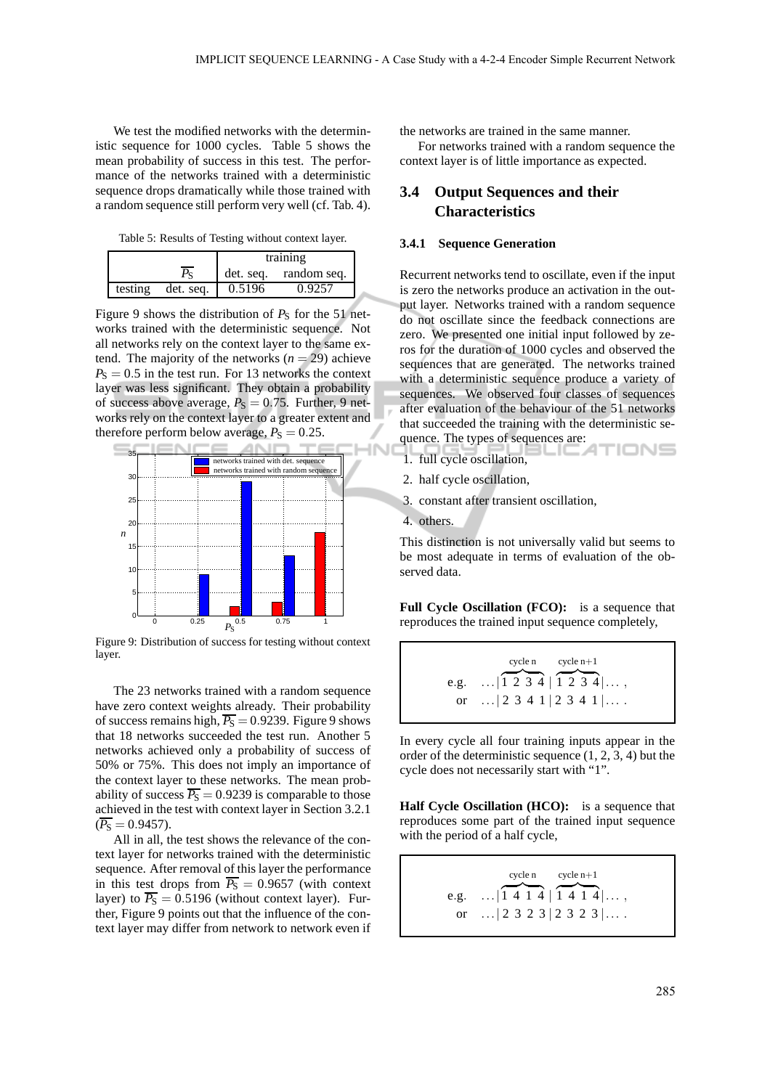We test the modified networks with the deterministic sequence for 1000 cycles. Table 5 shows the mean probability of success in this test. The performance of the networks trained with a deterministic sequence drops dramatically while those trained with a random sequence still perform very well (cf. Tab. 4).

Table 5: Results of Testing without context layer.

|         |           | training |                       |
|---------|-----------|----------|-----------------------|
|         |           |          | det. seq. random seq. |
| testing | det. seg. | 0.5196   | 0.9257                |

Figure 9 shows the distribution of  $P<sub>S</sub>$  for the 51 networks trained with the deterministic sequence. Not all networks rely on the context layer to the same extend. The majority of the networks  $(n = 29)$  achieve  $P<sub>S</sub> = 0.5$  in the test run. For 13 networks the context layer was less significant. They obtain a probability of success above average,  $P_S = 0.75$ . Further, 9 networks rely on the context layer to a greater extent and therefore perform below average,  $P_S = 0.25$ .



Figure 9: Distribution of success for testing without context layer.

The 23 networks trained with a random sequence have zero context weights already. Their probability of success remains high,  $\overline{P_S}$  = 0.9239. Figure 9 shows that 18 networks succeeded the test run. Another 5 networks achieved only a probability of success of 50% or 75%. This does not imply an importance of the context layer to these networks. The mean probability of success  $\overline{P_S} = 0.9239$  is comparable to those achieved in the test with context layer in Section 3.2.1  $(\overline{P_{\rm S}} = 0.9457)$ .

All in all, the test shows the relevance of the context layer for networks trained with the deterministic sequence. After removal of this layer the performance in this test drops from  $\overline{P_S} = 0.9657$  (with context layer) to  $\overline{P_S} = 0.5196$  (without context layer). Further, Figure 9 points out that the influence of the context layer may differ from network to network even if the networks are trained in the same manner.

For networks trained with a random sequence the context layer is of little importance as expected.

# **3.4 Output Sequences and their Characteristics**

#### **3.4.1 Sequence Generation**

Recurrent networks tend to oscillate, even if the input is zero the networks produce an activation in the output layer. Networks trained with a random sequence do not oscillate since the feedback connections are zero. We presented one initial input followed by zeros for the duration of 1000 cycles and observed the sequences that are generated. The networks trained with a deterministic sequence produce a variety of sequences. We observed four classes of sequences after evaluation of the behaviour of the 51 networks that succeeded the training with the deterministic sequence. The types of sequences are:

- 1. full cycle oscillation,
- 2. half cycle oscillation,
- 3. constant after transient oscillation,
- 4. others.

1N

This distinction is not universally valid but seems to be most adequate in terms of evaluation of the observed data.

**Full Cycle Oscillation (FCO):** is a sequence that reproduces the trained input sequence completely,

e.g. ... 
$$
1 \overline{) \ 2 \ 3 \ 4 \ | \ 1 \ 2 \ 3 \ 4 \ | \dots
$$
,  
or ...  $| \ 2 \ 3 \ 4 \ 1 \ | \ 2 \ 3 \ 4 \ 1 \ | \dots$ 

In every cycle all four training inputs appear in the order of the deterministic sequence (1, 2, 3, 4) but the cycle does not necessarily start with "1".

**Half Cycle Oscillation (HCO):** is a sequence that reproduces some part of the trained input sequence with the period of a half cycle,

e.g. ... 
$$
1 \overline{4} \overline{1} \overline{4} \overline{1} \overline{4} \overline{1} \overline{4} \overline{1} \overline{4} \overline{1} \overline{4} \overline{1} \dots
$$
,  
or ...  $|2 \overline{3} \overline{2} \overline{3} |2 \overline{3} \overline{2} \overline{3} \overline{1} \dots$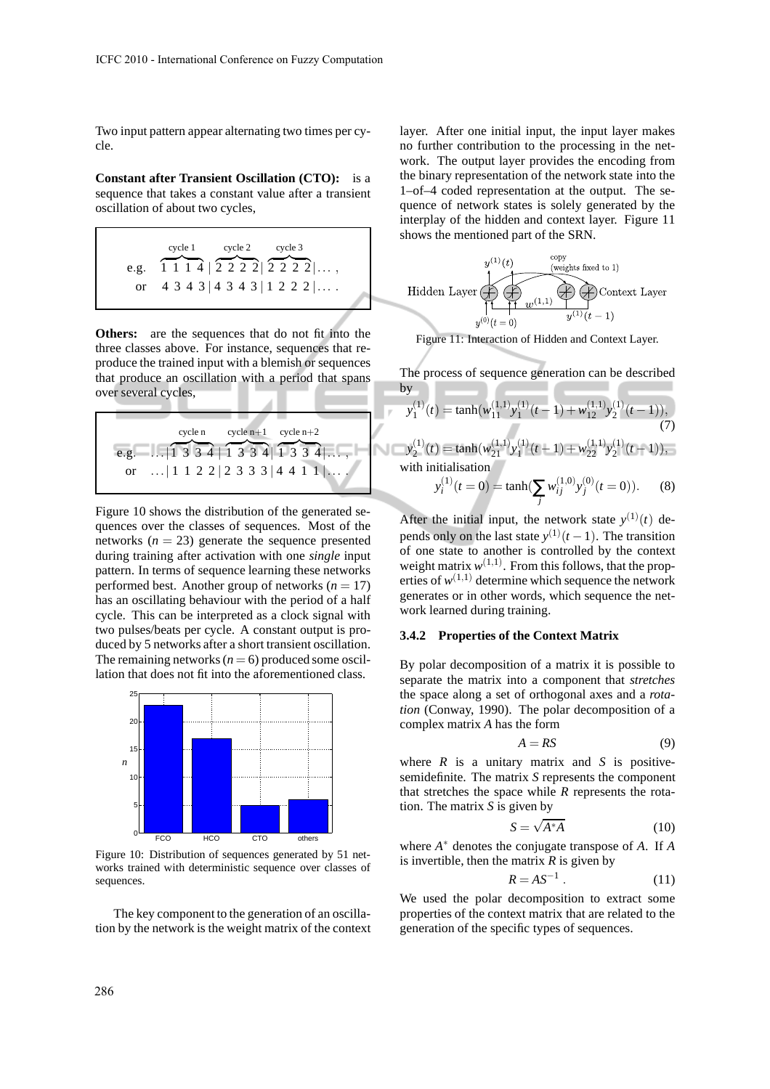Two input pattern appear alternating two times per cycle.

**Constant after Transient Oscillation (CTO):** is a sequence that takes a constant value after a transient oscillation of about two cycles,

e.g. 
$$
\overbrace{1114}^{\text{cycle 1}} |2222|2222|...
$$
\nor 4 3 4 3 |4 3 4 3 |1 2 2 2 |....

**Others:** are the sequences that do not fit into the three classes above. For instance, sequences that reproduce the trained input with a blemish or sequences that produce an oscillation with a period that spans over several cycles,

e.g. 
$$
\begin{bmatrix} \ncyclen & \ncyclen + 1 & \ncyclen + 2 & \ncgclen + 1 & 3 & 3 & 4 & 1 & 3 & 3 & 4 \n\end{bmatrix}
$$
  $\begin{bmatrix} \ncyclen + 2 & \ncyclen + 2 & \ncoclen + 1 & 3 & 3 & 4 \n\end{bmatrix}$  ...

Figure 10 shows the distribution of the generated sequences over the classes of sequences. Most of the networks  $(n = 23)$  generate the sequence presented during training after activation with one *single* input pattern. In terms of sequence learning these networks performed best. Another group of networks  $(n = 17)$ has an oscillating behaviour with the period of a half cycle. This can be interpreted as a clock signal with two pulses/beats per cycle. A constant output is produced by 5 networks after a short transient oscillation. The remaining networks  $(n = 6)$  produced some oscillation that does not fit into the aforementioned class.



Figure 10: Distribution of sequences generated by 51 networks trained with deterministic sequence over classes of sequences.

The key component to the generation of an oscillation by the network is the weight matrix of the context layer. After one initial input, the input layer makes no further contribution to the processing in the network. The output layer provides the encoding from the binary representation of the network state into the 1–of–4 coded representation at the output. The sequence of network states is solely generated by the interplay of the hidden and context layer. Figure 11 shows the mentioned part of the SRN.



Figure 11: Interaction of Hidden and Context Layer.

The process of sequence generation can be described by

$$
y_1^{(1)}(t) = \tanh(w_{11}^{(1,1)}y_1^{(1)}(t-1) + w_{12}^{(1,1)}y_2^{(1)}(t-1)),
$$
  
\n
$$
y_2^{(1)}(t) = \tanh(w_{21}^{(1,1)}y_1^{(1)}(t-1) + w_{22}^{(1,1)}y_2^{(1)}(t-1)),
$$
  
\nwith initialisation  
\n
$$
y_i^{(1)}(t=0) = \tanh(\sum w_{ij}^{(1,0)}y_j^{(0)}(t=0)).
$$
 (8)

*j*

After the initial input, the network state  $y^{(1)}(t)$  depends only on the last state  $y^{(1)}(t-1)$ . The transition of one state to another is controlled by the context weight matrix  $w^{(1,1)}$ . From this follows, that the properties of  $w^{(1,1)}$  determine which sequence the network generates or in other words, which sequence the network learned during training.

#### **3.4.2 Properties of the Context Matrix**

By polar decomposition of a matrix it is possible to separate the matrix into a component that *stretches* the space along a set of orthogonal axes and a *rotation* (Conway, 1990). The polar decomposition of a complex matrix *A* has the form

$$
A = RS \tag{9}
$$

where  $R$  is a unitary matrix and  $S$  is positivesemidefinite. The matrix *S* represents the component that stretches the space while *R* represents the rotation. The matrix *S* is given by

$$
S = \sqrt{A^*A} \tag{10}
$$

where *A* ∗ denotes the conjugate transpose of *A*. If *A* is invertible, then the matrix  $R$  is given by

$$
R = AS^{-1} . \tag{11}
$$

We used the polar decomposition to extract some properties of the context matrix that are related to the generation of the specific types of sequences.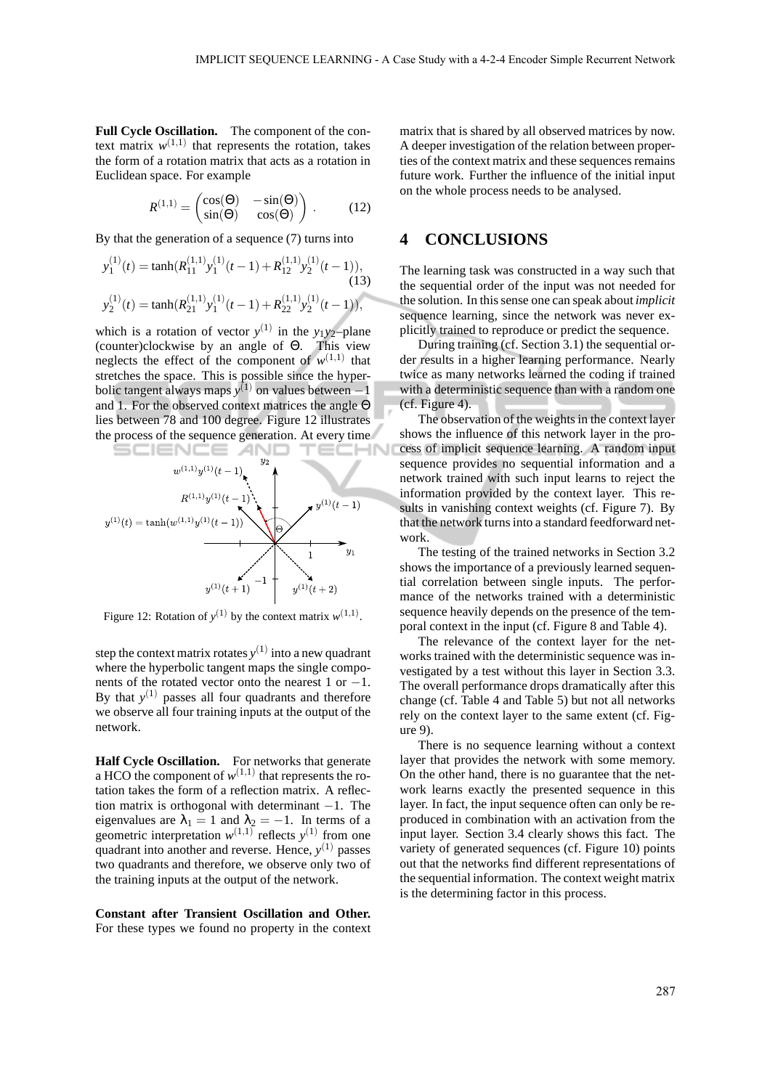**Full Cycle Oscillation.** The component of the context matrix  $w^{(1,1)}$  that represents the rotation, takes the form of a rotation matrix that acts as a rotation in Euclidean space. For example

$$
R^{(1,1)} = \begin{pmatrix} \cos(\Theta) & -\sin(\Theta) \\ \sin(\Theta) & \cos(\Theta) \end{pmatrix} . \tag{12}
$$

By that the generation of a sequence (7) turns into

$$
y_1^{(1)}(t) = \tanh(R_{11}^{(1,1)}y_1^{(1)}(t-1) + R_{12}^{(1,1)}y_2^{(1)}(t-1)),
$$
\n(13)\n
$$
y_2^{(1)}(t) = \tanh(R_{21}^{(1,1)}y_1^{(1)}(t-1) + R_{22}^{(1,1)}y_2^{(1)}(t-1)),
$$

which is a rotation of vector  $y^{(1)}$  in the  $y_1y_2$ -plane (counter)clockwise by an angle of Θ. This view neglects the effect of the component of  $w^{(1,1)}$  that stretches the space. This is possible since the hyperbolic tangent always maps  $y^{(1)}$  on values between  $-1$ and 1. For the observed context matrices the angle Θ lies between 78 and 100 degree. Figure 12 illustrates the process of the sequence generation. At every time



Figure 12: Rotation of  $y^{(1)}$  by the context matrix  $w^{(1,1)}$ .

step the context matrix rotates  $y^{(1)}$  into a new quadrant where the hyperbolic tangent maps the single components of the rotated vector onto the nearest 1 or −1. By that  $y^{(1)}$  passes all four quadrants and therefore we observe all four training inputs at the output of the network.

**Half Cycle Oscillation.** For networks that generate a HCO the component of  $w^{(1,1)}$  that represents the rotation takes the form of a reflection matrix. A reflection matrix is orthogonal with determinant  $-1$ . The eigenvalues are  $\lambda_1 = 1$  and  $\lambda_2 = -1$ . In terms of a geometric interpretation  $w^{(1,1)}$  reflects  $y^{(1)}$  from one quadrant into another and reverse. Hence,  $y^{(1)}$  passes two quadrants and therefore, we observe only two of the training inputs at the output of the network.

**Constant after Transient Oscillation and Other.** For these types we found no property in the context matrix that is shared by all observed matrices by now. A deeper investigation of the relation between properties of the context matrix and these sequences remains future work. Further the influence of the initial input on the whole process needs to be analysed.

## **4 CONCLUSIONS**

The learning task was constructed in a way such that the sequential order of the input was not needed for the solution. In this sense one can speak about *implicit* sequence learning, since the network was never explicitly trained to reproduce or predict the sequence.

During training (cf. Section 3.1) the sequential order results in a higher learning performance. Nearly twice as many networks learned the coding if trained with a deterministic sequence than with a random one (cf. Figure 4).

The observation of the weights in the context layer shows the influence of this network layer in the process of implicit sequence learning. A random input sequence provides no sequential information and a network trained with such input learns to reject the information provided by the context layer. This results in vanishing context weights (cf. Figure 7). By that the network turns into a standard feedforward network.

The testing of the trained networks in Section 3.2 shows the importance of a previously learned sequential correlation between single inputs. The performance of the networks trained with a deterministic sequence heavily depends on the presence of the temporal context in the input (cf. Figure 8 and Table 4).

The relevance of the context layer for the networks trained with the deterministic sequence was investigated by a test without this layer in Section 3.3. The overall performance drops dramatically after this change (cf. Table 4 and Table 5) but not all networks rely on the context layer to the same extent (cf. Figure 9).

There is no sequence learning without a context layer that provides the network with some memory. On the other hand, there is no guarantee that the network learns exactly the presented sequence in this layer. In fact, the input sequence often can only be reproduced in combination with an activation from the input layer. Section 3.4 clearly shows this fact. The variety of generated sequences (cf. Figure 10) points out that the networks find different representations of the sequential information. The context weight matrix is the determining factor in this process.